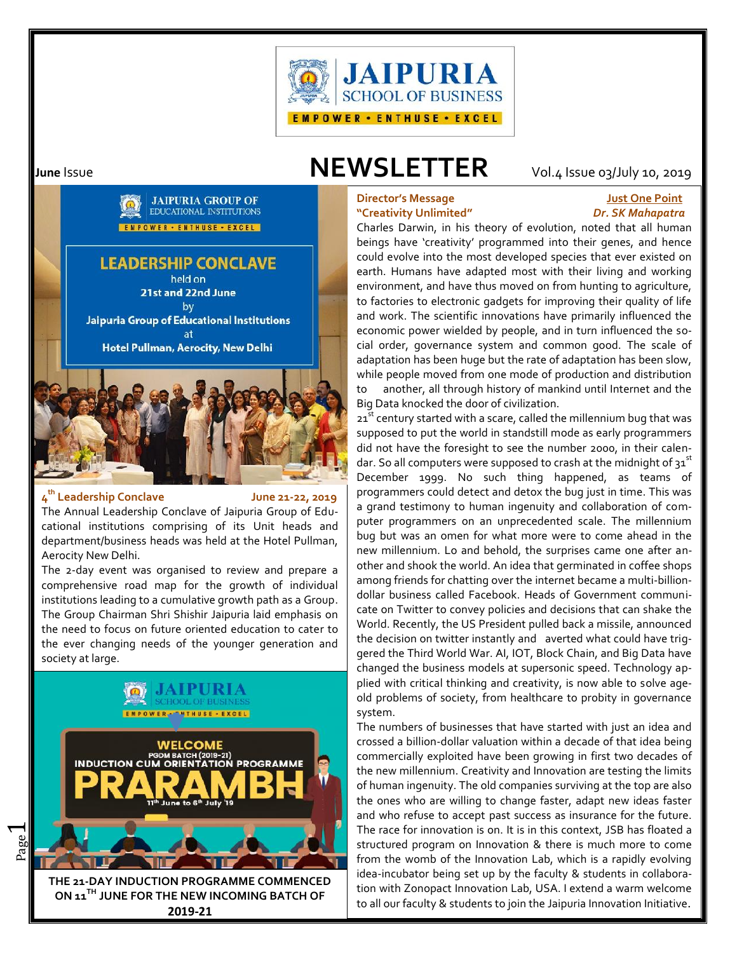

# **June** Issue **NEWSLETTER** Vol.4 Issue 03/July 10, 2019

# **Director's Message Just One Point "Creativity Unlimited"** *Dr. SK Mahapatra*

Charles Darwin, in his theory of evolution, noted that all human beings have 'creativity' programmed into their genes, and hence could evolve into the most developed species that ever existed on earth. Humans have adapted most with their living and working environment, and have thus moved on from hunting to agriculture, to factories to electronic gadgets for improving their quality of life and work. The scientific innovations have primarily influenced the economic power wielded by people, and in turn influenced the social order, governance system and common good. The scale of adaptation has been huge but the rate of adaptation has been slow, while people moved from one mode of production and distribution to another, all through history of mankind until Internet and the

Big Data knocked the door of civilization.

21 $^{\rm \overline{st}}$  century started with a scare, called the millennium bug that was  $\,\,\blacksquare\,$ supposed to put the world in standstill mode as early programmers did not have the foresight to see the number 2000, in their calendar. So all computers were supposed to crash at the midnight of  $31^{st}$ December 1999. No such thing happened, as teams of programmers could detect and detox the bug just in time. This was a grand testimony to human ingenuity and collaboration of computer programmers on an unprecedented scale. The millennium bug but was an omen for what more were to come ahead in the new millennium. Lo and behold, the surprises came one after another and shook the world. An idea that germinated in coffee shops among friends for chatting over the internet became a multi-billion dollar business called Facebook. Heads of Government communicate on Twitter to convey policies and decisions that can shake the World. Recently, the US President pulled back a missile, announced the decision on twitter instantly and averted what could have triggered the Third World War. AI, IOT, Block Chain, and Big Data have changed the business models at supersonic speed. Technology applied with critical thinking and creativity, is now able to solve age old problems of society, from healthcare to probity in governance system.

The numbers of businesses that have started with just an idea and crossed a billion-dollar valuation within a decade of that idea being commercially exploited have been growing in first two decades of the new millennium. Creativity and Innovation are testing the limits of human ingenuity. The old companies surviving at the top are also the ones who are willing to change faster, adapt new ideas faster and who refuse to accept past success as insurance for the future. The race for innovation is on. It is in this context, JSB has floated a structured program on Innovation & there is much more to come from the womb of the Innovation Lab, which is a rapidly evolving idea-incubator being set up by the faculty & students in collaboration with Zonopact Innovation Lab, USA. I extend a warm welcome to all our faculty & students to join the Jaipuria Innovation Initiative.



# **4 th Leadership Conclave June 21-22, 2019**

The Annual Leadership Conclave of Jaipuria Group of Educational institutions comprising of its Unit heads and department/business heads was held at the Hotel Pullman, Aerocity New Delhi.

The 2-day event was organised to review and prepare a comprehensive road map for the growth of individual institutions leading to a cumulative growth path as a Group. The Group Chairman Shri Shishir Jaipuria laid emphasis on the need to focus on future oriented education to cater to the ever changing needs of the younger generation and society at large.

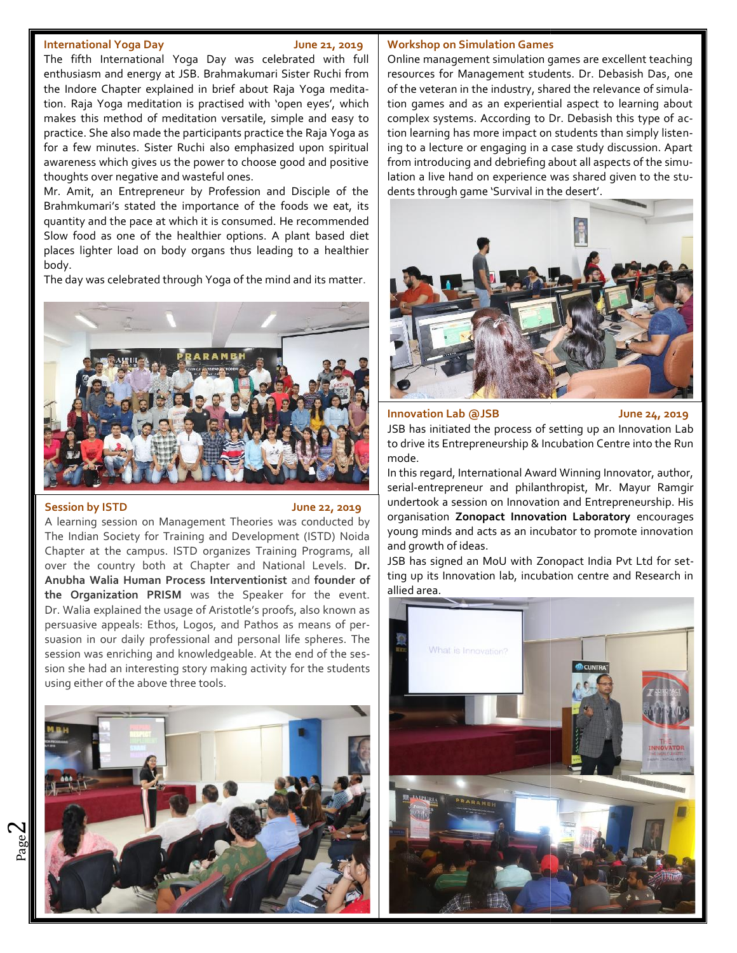### **International Yoga Day June 21, 2019**

The fifth International Yoga Day was celebrated with full enthusiasm and energy at JSB. Brahmakumari Sister Ruchi from the Indore Chapter explained in brief about Raja Yoga meditation. Raja Yoga meditation is practised with 'open eyes', which makes this method of meditation versatile, simple and easy to  $\mid$  comp practice. She also made the participants practice the Raja Yoga as for a few minutes. Sister Ruchi also emphasized upon spiritual awareness which gives us the power to choose good and positive thoughts over negative and wasteful ones.

Mr. Amit, an Entrepreneur by Profession and Disciple of the Brahmkumari's stated the importance of the foods we eat, its quantity and the pace at which it is consumed. He recommended Slow food as one of the healthier options. A plant based diet places lighter load on body organs thus leading to a healthier body.

The day was celebrated through Yoga of the mind and its matter.



### **Session by ISTD June 22, 2019**

A learning session on Management Theories was conducted by The Indian Society for Training and Development (ISTD) Noida Chapter at the campus. ISTD organizes Training Programs, all Chapter at the campus. ISTD organizes Training Programs, all all<br>over the country both at Chapter and National Levels. **Dr.** 15 **Anubha Walia Human Process Interventionist** and founder of  $\begin{bmatrix} 0 & 0 \\ 0 & 0 \end{bmatrix}$ **the Organization PRISM** was the Speaker for the event. Dr. Walia explained the usage of Aristotle's proofs, also known as the Organization PRISM was the Speaker for the event.<br>Dr. Walia explained the usage of Aristotle's proofs, also known as<br>persuasive appeals: Ethos, Logos, and Pathos as means of persuasion in our daily professional and personal life spheres. The  $\begin{bmatrix} 1 & 2 \\ 3 & 4 \end{bmatrix}$ session was enriching and knowledgeable. At the end of the session she had an interesting story making activity for the students on Management Theories was conducted by<br>for Training and Development (ISTD) Noida<br>mpus. ISTD organizes Training Programs, all<br>both at Chapter and National Levels. Dr.<br>man Process Interventionist and founder of ting up its



### **Workshop on Simulation Games**

Online management simulation games are excellent teaching resources for Management students. Dr. Debasish Das, one of the veteran in the industry, shared the relevance of simulation games and as an experiential aspect to learning about complex systems. According to Dr. Debasish this type of action learning has more impact on students than simply listening to a lecture or engaging in a case study discussion. Apart from introducing and debriefing about all aspects of the simulation a live hand on experience was shared given to the stulation a live hand on experience was shared give<br>dents through game 'Survival in the desert'. The fifth International Yoga Day was celebrated with full Online management simulation games are excellent teaching<br>enthusiasm and energy at JSB. Brahmakumari Sister Ruchi from resources for Management students. Dr. Debass



**Innovation Lab @JSB June 24, 2019 Innovation**

JSB has initiated the process of setting up an Innovation Lab to drive its Entrepreneurship & Incubation Centre into the Run mode.

In this regard, International Award Winning Innovator, author, serial-entrepreneur and philanthropist, Mr. Mayur Ramgir undertook a session on Innovation and Entrepreneurship. His organisation **Zonopact Innovation Laboratory** encourages young minds and acts as an incubator to promote innovation and growth of ideas. In this regard, International Award Winning Innovator, auth<br>serial-entrepreneur and philanthropist, Mr. Mayur Ran<br>undertook a session on Innovation and Entrepreneurship.<br>organisation Zonopact Innovation Laboratory encoura

JSB has signed an MoU with Zonopact India Pvt Ltd for setting up its Innovation lab, incubation centre and Research in allied area.



 $\boldsymbol{\sim}$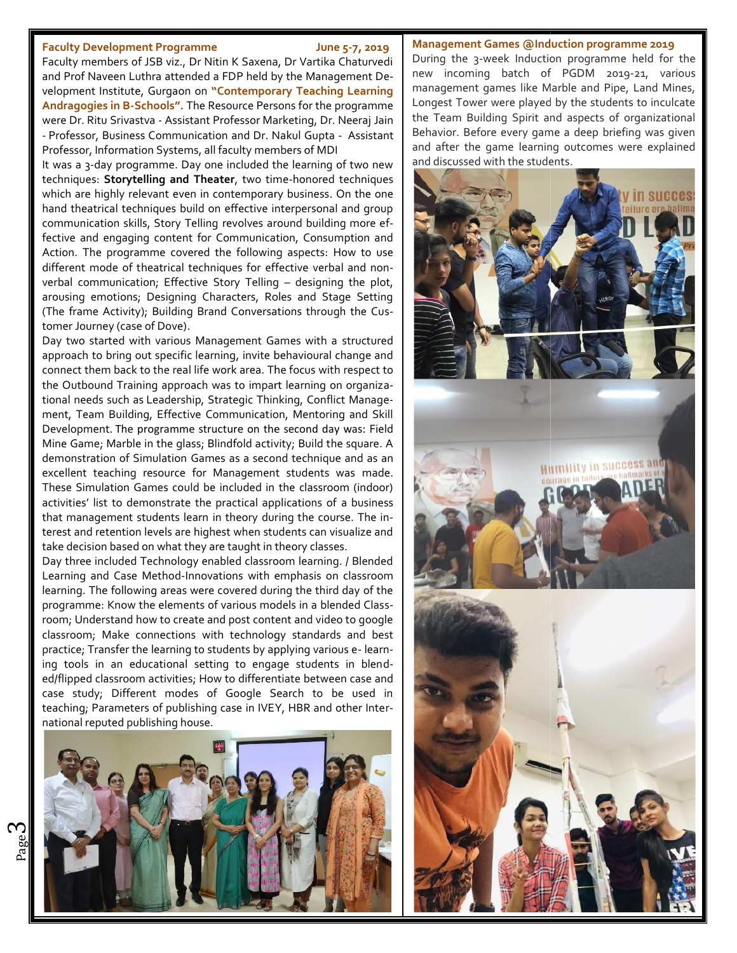### **Faculty Development Programme June 5-7, 2019**

Faculty members of JSB viz., Dr Nitin K Saxena, Dr Vartika Chaturvedi and Prof Naveen Luthra attended a FDP held by the Management Development Institute, Gurgaon on **"Contemporary Teaching Learning Andragogies in B-Schools".** The Resource Persons for the programme were Dr. Ritu Srivastva - Assistant Professor Marketing, Dr. Neeraj Jain - Professor, Business Communication and Dr. Nakul Gupta - Assistant Professor, Information Systems, all faculty members of MDI Faculty Development Programme<br>
Faculty members of JSB viz., Dr Nitin K Saxena, Dr Vartika Chaturvediant Development Games @Induction program<br>
and Prof Naven Luttle, Gurgaon on "Contemporary Teaching Learning<br>
Andragogies i

It was a 3-day programme. Day one included the learning of two new | and discussed with the students. techniques: **Storytelling and Theater**, two time-honored techniques **Storytelling and** which are highly relevant even in contemporary business. On the one hand theatrical techniques build on effective interpersonal and group communication skills, Story Telling revolves around building more effective and engaging content for Communication, Consumption and Action. The programme covered the following aspects: How to use different mode of theatrical techniques for effective verbal and non verbal communication; Effective Story Telling – designing the plot, which are highly relevant even in contemporary business. On the one<br>hand theatrical techniques build on effective interpersonal and group<br>communication skills, Story Telling revolves around building more ef-<br>fective and en (The frame Activity); Building Brand Conversations through the Customer Journey (case of Dove).

Day two started with various Management Games with a structured approach to bring out specific learning, invite behavioural change and connect them back to the real life work area. The focus with respect to  $\begin{array}{|c|c|}\hline \end{array}$ the Outbound Training approach was to impart learning on organizational needs such as Leadership, Strategic Thinking, Conflict Management, Team Building, Effective Communication, Mentoring and Skill Development. The programme structure on the second day was: Field | | | | | | | | Mine Game; Marble in the glass; Blindfold activity; Build the square. A Mine Game; Marble in the glass; Blindfold activity; Build the square. A **computer in the state of the set of the s**<br>demonstration of Simulation Games as a second technique and as an excellent teaching resource for Management students was made. These Simulation Games could be included in the classroom (indoor) excellent teaching resource for Management students was made.<br>These Simulation Games could be included in the classroom (indoor)<br>activities' list to demonstrate the practical applications of a business that management students learn in theory during the course. The interest and retention levels are highest when students can visualize and take decision based on what they are taught in theory classes. that management students learn in theory during the course. The in-<br>terest and retention levels are highest when students can visualize and<br>take decision based on what they are taught in theory classes.<br>Day three included Day two started with various Management Games with a structured<br>approach to bring out specific learning, invite behavioural change and<br>connect them back to the real life work area. The focus with respect to<br>the Outbound Tr

Day three included Technology enabled classroom learning. / Blended learning. The following areas were covered during the third day of the programme: Know the elements of various models in a blended Classroom; Understand how to create and post content and video to google classroom; Make connections with technology standards and best practice; Transfer the learning to students by applying various e- learning tools in an educational setting to engage students in blended/flipped classroom activities; How to differentiate between case and case study; Different modes of Google Search to be used in teaching; Parameters of publishing case in IVEY, HBR and other International reputed publishing house.



### **Management Games @Induction programme 2019**

During the 3-week Induction programme held for the new incoming batch of PGDM 2019-21, various management games like Marble and Pipe, Land Mines, Longest Tower were played by the students to inculcate the Team Building Spirit and aspects of organizational Behavior. Before every game a deep briefing was given and after the game learning outcomes were explained



ო